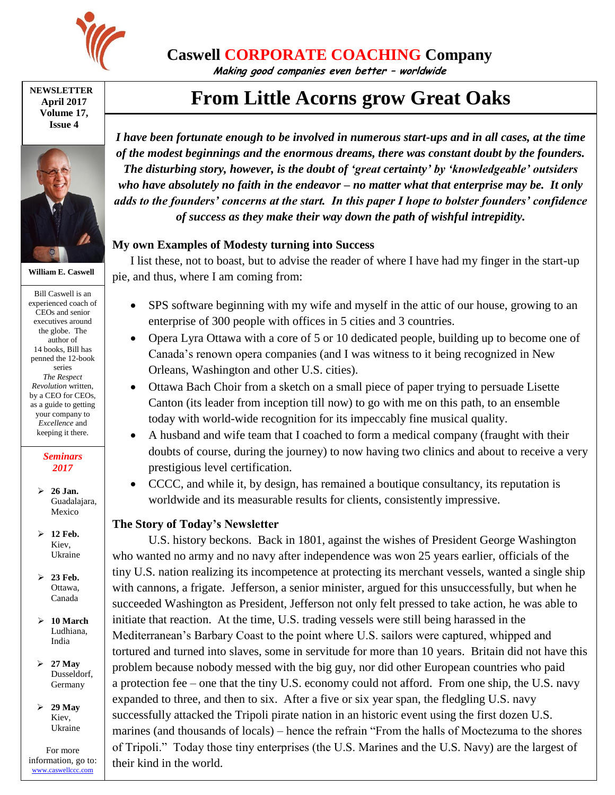

**Caswell CORPORATE COACHING Company**

**Making good companies even better – worldwide**

**NEWSLETTER April 2017 Volume 17, Issue 4**



**William E. Caswell**

Bill Caswell is an experienced coach of CEOs and senior executives around the globe. The author of 14 books, Bill has penned the 12-book series *The Respect Revolution* written, by a CEO for CEOs, as a guide to getting your company to *Excellence* and keeping it there.

### *Seminars 2017*

- **26 Jan.** Guadalajara, Mexico
- **12 Feb.** Kiev, Ukraine
- **23 Feb.** Ottawa, Canada
- **10 March** Ludhiana, India
- **27 May** Dusseldorf, Germany
- **29 May** Kiev, Ukraine

For more information, go to: [www.caswellccc.com](http://www.caswellccc.com/)

# **From Little Acorns grow Great Oaks**

*I have been fortunate enough to be involved in numerous start-ups and in all cases, at the time of the modest beginnings and the enormous dreams, there was constant doubt by the founders. The disturbing story, however, is the doubt of 'great certainty' by 'knowledgeable' outsiders who have absolutely no faith in the endeavor – no matter what that enterprise may be. It only adds to the founders' concerns at the start. In this paper I hope to bolster founders' confidence of success as they make their way down the path of wishful intrepidity.*

## **My own Examples of Modesty turning into Success**

I list these, not to boast, but to advise the reader of where I have had my finger in the start-up pie, and thus, where I am coming from:

- SPS software beginning with my wife and myself in the attic of our house, growing to an enterprise of 300 people with offices in 5 cities and 3 countries.
- Opera Lyra Ottawa with a core of 5 or 10 dedicated people, building up to become one of Canada's renown opera companies (and I was witness to it being recognized in New Orleans, Washington and other U.S. cities).
- Ottawa Bach Choir from a sketch on a small piece of paper trying to persuade Lisette Canton (its leader from inception till now) to go with me on this path, to an ensemble today with world-wide recognition for its impeccably fine musical quality.
- A husband and wife team that I coached to form a medical company (fraught with their doubts of course, during the journey) to now having two clinics and about to receive a very prestigious level certification.
- CCCC, and while it, by design, has remained a boutique consultancy, its reputation is worldwide and its measurable results for clients, consistently impressive.

## **The Story of Today's Newsletter**

U.S. history beckons. Back in 1801, against the wishes of President George Washington who wanted no army and no navy after independence was won 25 years earlier, officials of the tiny U.S. nation realizing its incompetence at protecting its merchant vessels, wanted a single ship with cannons, a frigate. Jefferson, a senior minister, argued for this unsuccessfully, but when he succeeded Washington as President, Jefferson not only felt pressed to take action, he was able to initiate that reaction. At the time, U.S. trading vessels were still being harassed in the Mediterranean's Barbary Coast to the point where U.S. sailors were captured, whipped and tortured and turned into slaves, some in servitude for more than 10 years. Britain did not have this problem because nobody messed with the big guy, nor did other European countries who paid a protection fee – one that the tiny U.S. economy could not afford. From one ship, the U.S. navy expanded to three, and then to six. After a five or six year span, the fledgling U.S. navy successfully attacked the Tripoli pirate nation in an historic event using the first dozen U.S. marines (and thousands of locals) – hence the refrain "From the halls of Moctezuma to the shores of Tripoli." Today those tiny enterprises (the U.S. Marines and the U.S. Navy) are the largest of their kind in the world.